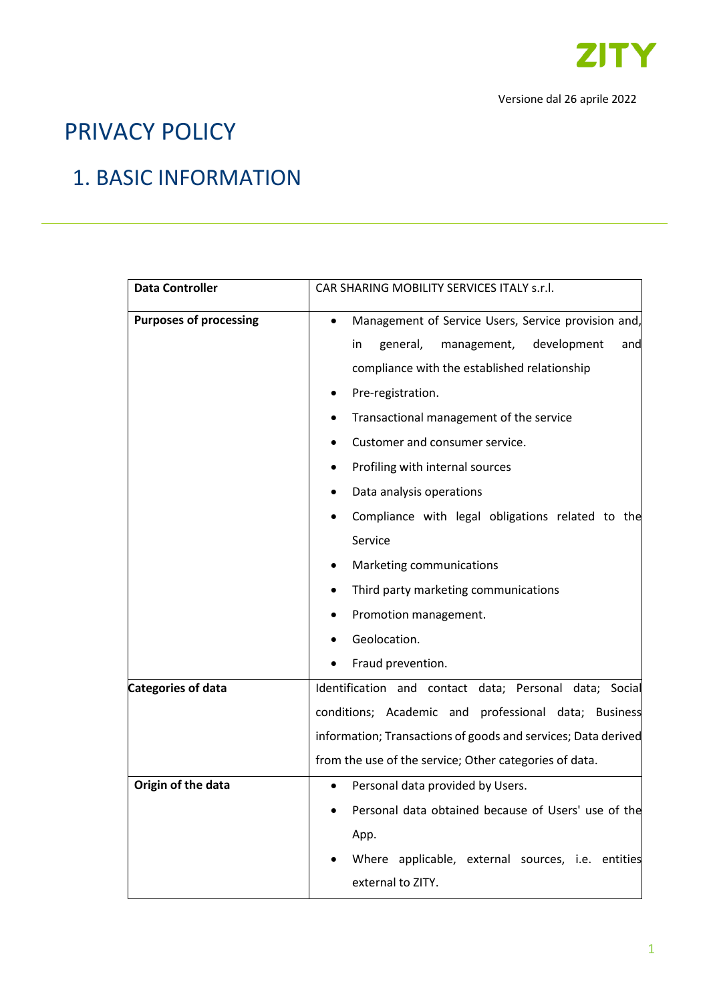

# PRIVACY POLICY

## 1. BASIC INFORMATION

| <b>Data Controller</b>        | CAR SHARING MOBILITY SERVICES ITALY s.r.l.                                                                                                                                                                                                                                                                                                                                                                                                                                                                                                                        |
|-------------------------------|-------------------------------------------------------------------------------------------------------------------------------------------------------------------------------------------------------------------------------------------------------------------------------------------------------------------------------------------------------------------------------------------------------------------------------------------------------------------------------------------------------------------------------------------------------------------|
| <b>Purposes of processing</b> | Management of Service Users, Service provision and,<br>$\bullet$<br>general,<br>management,<br>development<br>in.<br>and<br>compliance with the established relationship<br>Pre-registration.<br>Transactional management of the service<br>Customer and consumer service.<br>Profiling with internal sources<br>٠<br>Data analysis operations<br>٠<br>Compliance with legal obligations related to the<br>Service<br>Marketing communications<br>Third party marketing communications<br>$\bullet$<br>Promotion management.<br>Geolocation.<br>Fraud prevention. |
| <b>Categories of data</b>     | Identification and contact data; Personal data; Social                                                                                                                                                                                                                                                                                                                                                                                                                                                                                                            |
|                               | conditions; Academic and professional data; Business<br>information; Transactions of goods and services; Data derived<br>from the use of the service; Other categories of data.                                                                                                                                                                                                                                                                                                                                                                                   |
| Origin of the data            | Personal data provided by Users.<br>Personal data obtained because of Users' use of the<br>App.<br>Where applicable, external sources, i.e. entities<br>external to ZITY.                                                                                                                                                                                                                                                                                                                                                                                         |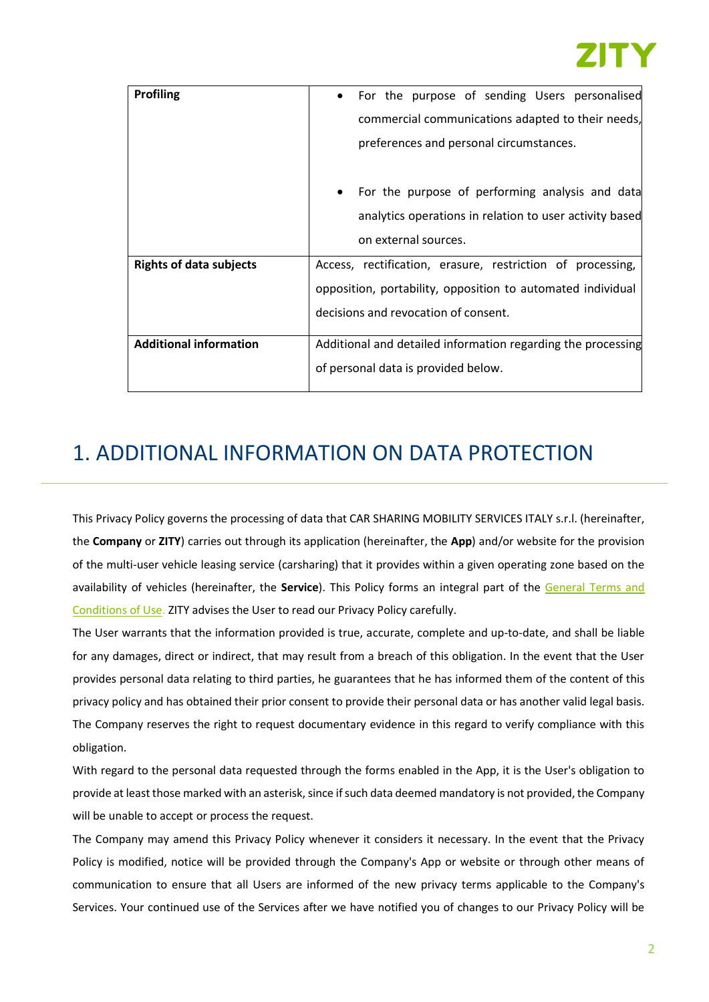

| <b>Profiling</b>               | For the purpose of sending Users personalised<br>$\bullet$   |
|--------------------------------|--------------------------------------------------------------|
|                                | commercial communications adapted to their needs,            |
|                                | preferences and personal circumstances.                      |
|                                | For the purpose of performing analysis and data<br>$\bullet$ |
|                                | analytics operations in relation to user activity based      |
|                                | on external sources.                                         |
| <b>Rights of data subjects</b> | Access, rectification, erasure, restriction of processing,   |
|                                | opposition, portability, opposition to automated individual  |
|                                | decisions and revocation of consent.                         |
| <b>Additional information</b>  | Additional and detailed information regarding the processing |
|                                | of personal data is provided below.                          |
|                                |                                                              |

## 1. ADDITIONAL INFORMATION ON DATA PROTECTION

This Privacy Policy governs the processing of data that CAR SHARING MOBILITY SERVICES ITALY s.r.l. (hereinafter, the **Company** or **ZITY**) carries out through its application (hereinafter, the **App**) and/or website for the provision of the multi-user vehicle leasing service (carsharing) that it provides within a given operating zone based on the availability of vehicles (hereinafter, the **Service**). This Policy forms an integral part of the [General Terms and](https://zity.eco/en/legal-documents/)  [Conditions of Use.](https://zity.eco/en/legal-documents/) ZITY advises the User to read our Privacy Policy carefully.

The User warrants that the information provided is true, accurate, complete and up-to-date, and shall be liable for any damages, direct or indirect, that may result from a breach of this obligation. In the event that the User provides personal data relating to third parties, he guarantees that he has informed them of the content of this privacy policy and has obtained their prior consent to provide their personal data or has another valid legal basis. The Company reserves the right to request documentary evidence in this regard to verify compliance with this obligation.

With regard to the personal data requested through the forms enabled in the App, it is the User's obligation to provide at least those marked with an asterisk, since if such data deemed mandatory is not provided, the Company will be unable to accept or process the request.

The Company may amend this Privacy Policy whenever it considers it necessary. In the event that the Privacy Policy is modified, notice will be provided through the Company's App or website or through other means of communication to ensure that all Users are informed of the new privacy terms applicable to the Company's Services. Your continued use of the Services after we have notified you of changes to our Privacy Policy will be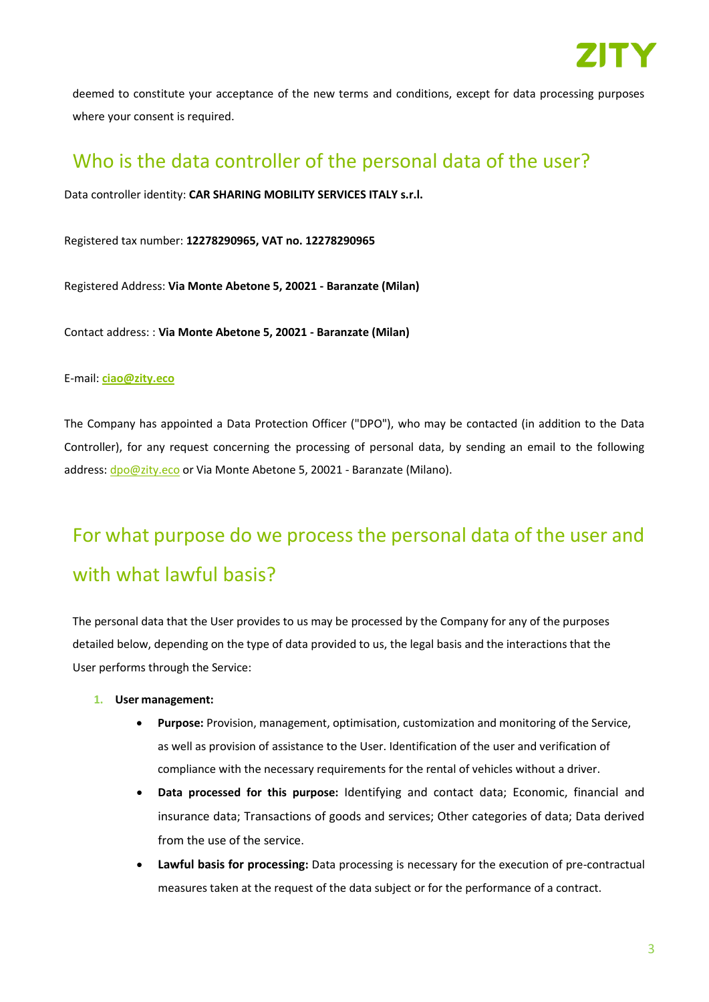

deemed to constitute your acceptance of the new terms and conditions, except for data processing purposes where your consent is required.

## Who is the data controller of the personal data of the user?

Data controller identity: **CAR SHARING MOBILITY SERVICES ITALY s.r.l.**

Registered tax number: **12278290965, VAT no. 12278290965**

Registered Address: **Via Monte Abetone 5, 20021 - Baranzate (Milan)**

Contact address: : **Via Monte Abetone 5, 20021 - Baranzate (Milan)**

#### E-mail: **[ciao@zity.eco](mailto:ciao@zity.eco)**

The Company has appointed a Data Protection Officer ("DPO"), who may be contacted (in addition to the Data Controller), for any request concerning the processing of personal data, by sending an email to the following address[: dpo@zity.eco](mailto:dpo@zity.eco) or Via Monte Abetone 5, 20021 - Baranzate (Milano).

# For what purpose do we process the personal data of the user and with what lawful basis?

The personal data that the User provides to us may be processed by the Company for any of the purposes detailed below, depending on the type of data provided to us, the legal basis and the interactions that the User performs through the Service:

#### **1. User management:**

- **Purpose:** Provision, management, optimisation, customization and monitoring of the Service, as well as provision of assistance to the User. Identification of the user and verification of compliance with the necessary requirements for the rental of vehicles without a driver.
- **Data processed for this purpose:** Identifying and contact data; Economic, financial and insurance data; Transactions of goods and services; Other categories of data; Data derived from the use of the service.
- **Lawful basis for processing:** Data processing is necessary for the execution of pre-contractual measures taken at the request of the data subject or for the performance of a contract.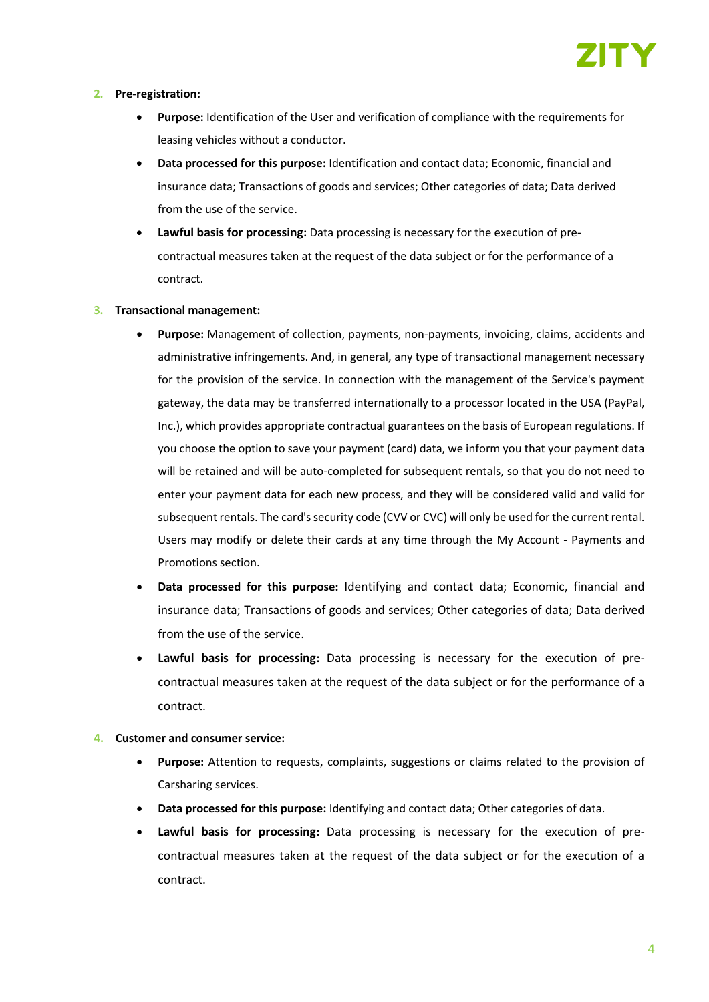

#### **2. Pre-registration:**

- **Purpose:** Identification of the User and verification of compliance with the requirements for leasing vehicles without a conductor.
- **Data processed for this purpose:** Identification and contact data; Economic, financial and insurance data; Transactions of goods and services; Other categories of data; Data derived from the use of the service.
- **Lawful basis for processing:** Data processing is necessary for the execution of precontractual measures taken at the request of the data subject or for the performance of a contract.

#### **3. Transactional management:**

- **Purpose:** Management of collection, payments, non-payments, invoicing, claims, accidents and administrative infringements. And, in general, any type of transactional management necessary for the provision of the service. In connection with the management of the Service's payment gateway, the data may be transferred internationally to a processor located in the USA (PayPal, Inc.), which provides appropriate contractual guarantees on the basis of European regulations. If you choose the option to save your payment (card) data, we inform you that your payment data will be retained and will be auto-completed for subsequent rentals, so that you do not need to enter your payment data for each new process, and they will be considered valid and valid for subsequent rentals. The card's security code (CVV or CVC) will only be used for the current rental. Users may modify or delete their cards at any time through the My Account - Payments and Promotions section.
- **Data processed for this purpose:** Identifying and contact data; Economic, financial and insurance data; Transactions of goods and services; Other categories of data; Data derived from the use of the service.
- **Lawful basis for processing:** Data processing is necessary for the execution of precontractual measures taken at the request of the data subject or for the performance of a contract.

#### **4. Customer and consumer service:**

- **Purpose:** Attention to requests, complaints, suggestions or claims related to the provision of Carsharing services.
- **Data processed for this purpose:** Identifying and contact data; Other categories of data.
- **Lawful basis for processing:** Data processing is necessary for the execution of precontractual measures taken at the request of the data subject or for the execution of a contract.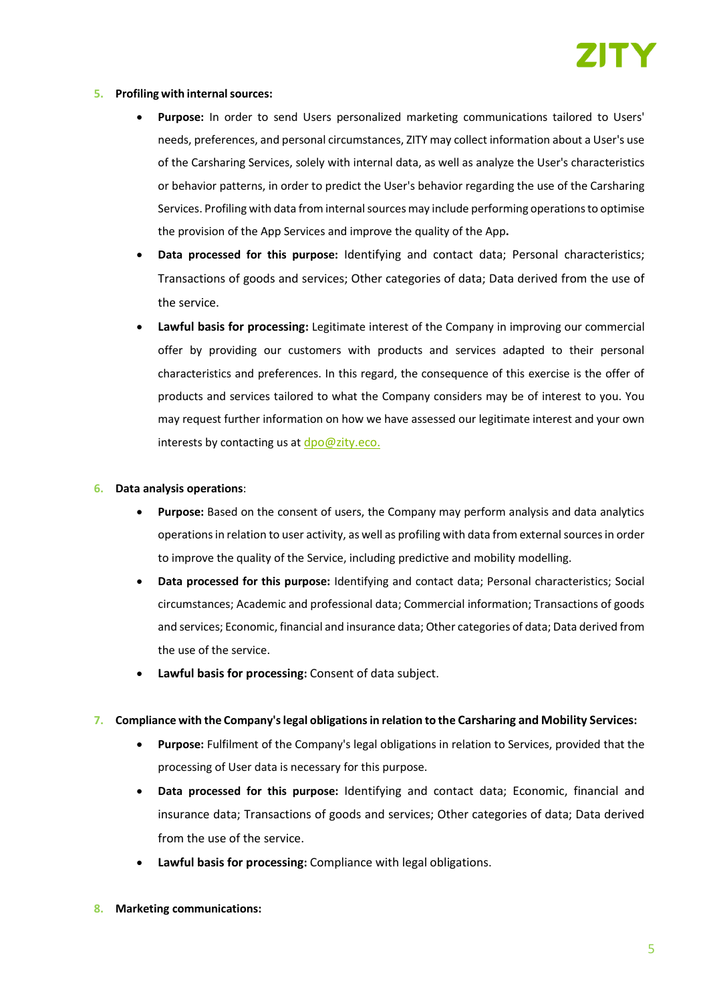

#### **5. Profiling with internalsources:**

- **Purpose:** In order to send Users personalized marketing communications tailored to Users' needs, preferences, and personal circumstances, ZITY may collect information about a User's use of the Carsharing Services, solely with internal data, as well as analyze the User's characteristics or behavior patterns, in order to predict the User's behavior regarding the use of the Carsharing Services. Profiling with data from internal sources may include performing operations to optimise the provision of the App Services and improve the quality of the App**.**
- **Data processed for this purpose:** Identifying and contact data; Personal characteristics; Transactions of goods and services; Other categories of data; Data derived from the use of the service.
- **Lawful basis for processing:** Legitimate interest of the Company in improving our commercial offer by providing our customers with products and services adapted to their personal characteristics and preferences. In this regard, the consequence of this exercise is the offer of products and services tailored to what the Company considers may be of interest to you. You may request further information on how we have assessed our legitimate interest and your own interests by contacting us at  $dpo@zity.eco.$

#### **6. Data analysis operations**:

- **Purpose:** Based on the consent of users, the Company may perform analysis and data analytics operations in relation to user activity, as well as profiling with data from external sources in order to improve the quality of the Service, including predictive and mobility modelling.
- **Data processed for this purpose:** Identifying and contact data; Personal characteristics; Social circumstances; Academic and professional data; Commercial information; Transactions of goods and services; Economic, financial and insurance data; Other categories of data; Data derived from the use of the service.
- **Lawful basis for processing:** Consent of data subject.

#### **7. Compliance with the Company's legal obligations in relation to the Carsharing and Mobility Services:**

- **Purpose:** Fulfilment of the Company's legal obligations in relation to Services, provided that the processing of User data is necessary for this purpose.
- **Data processed for this purpose:** Identifying and contact data; Economic, financial and insurance data; Transactions of goods and services; Other categories of data; Data derived from the use of the service.
- **Lawful basis for processing:** Compliance with legal obligations.
- **8. Marketing communications:**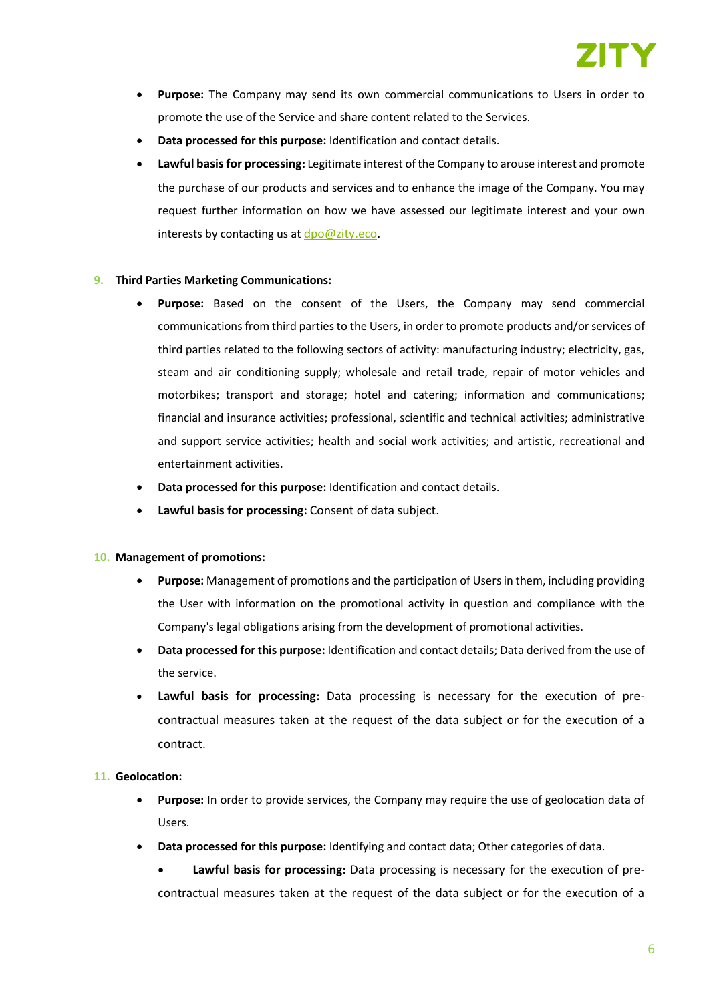- **Purpose:** The Company may send its own commercial communications to Users in order to promote the use of the Service and share content related to the Services.
- **Data processed for this purpose:** Identification and contact details.
- **Lawful basis for processing:** Legitimate interest of the Company to arouse interest and promote the purchase of our products and services and to enhance the image of the Company. You may request further information on how we have assessed our legitimate interest and your own interests by contacting us at  $dpo@zity.eco$ .

#### **9. Third Parties Marketing Communications:**

- **Purpose:** Based on the consent of the Users, the Company may send commercial communications from third parties to the Users, in order to promote products and/or services of third parties related to the following sectors of activity: manufacturing industry; electricity, gas, steam and air conditioning supply; wholesale and retail trade, repair of motor vehicles and motorbikes; transport and storage; hotel and catering; information and communications; financial and insurance activities; professional, scientific and technical activities; administrative and support service activities; health and social work activities; and artistic, recreational and entertainment activities.
- **Data processed for this purpose:** Identification and contact details.
- **Lawful basis for processing:** Consent of data subject.

#### **10. Management of promotions:**

- **Purpose:** Management of promotions and the participation of Users in them, including providing the User with information on the promotional activity in question and compliance with the Company's legal obligations arising from the development of promotional activities.
- **Data processed for this purpose:** Identification and contact details; Data derived from the use of the service.
- **Lawful basis for processing:** Data processing is necessary for the execution of precontractual measures taken at the request of the data subject or for the execution of a contract.

#### **11. Geolocation:**

- **Purpose:** In order to provide services, the Company may require the use of geolocation data of Users.
- **Data processed for this purpose:** Identifying and contact data; Other categories of data.

• **Lawful basis for processing:** Data processing is necessary for the execution of precontractual measures taken at the request of the data subject or for the execution of a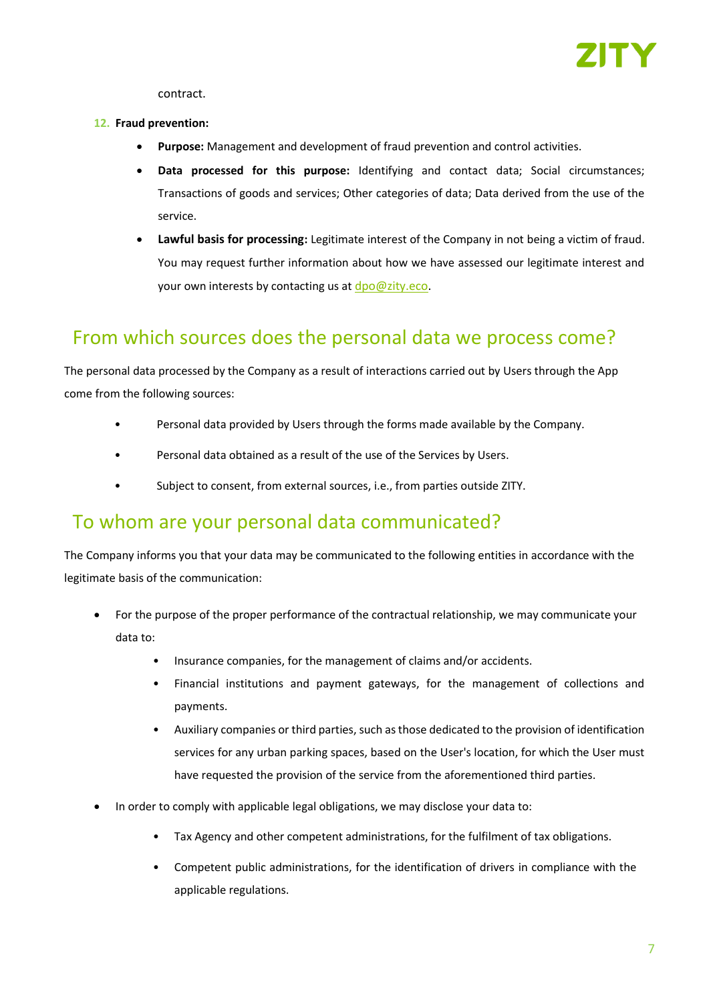

contract.

#### **12. Fraud prevention:**

- **Purpose:** Management and development of fraud prevention and control activities.
- **Data processed for this purpose:** Identifying and contact data; Social circumstances; Transactions of goods and services; Other categories of data; Data derived from the use of the service.
- **Lawful basis for processing:** Legitimate interest of the Company in not being a victim of fraud. You may request further information about how we have assessed our legitimate interest and your own interests by contacting us at [dpo@zity.eco.](mailto:dpo@zity.eco)

## From which sources does the personal data we process come?

The personal data processed by the Company as a result of interactions carried out by Users through the App come from the following sources:

- Personal data provided by Users through the forms made available by the Company.
- Personal data obtained as a result of the use of the Services by Users.
- Subject to consent, from external sources, i.e., from parties outside ZITY.

### To whom are your personal data communicated?

The Company informs you that your data may be communicated to the following entities in accordance with the legitimate basis of the communication:

- For the purpose of the proper performance of the contractual relationship, we may communicate your data to:
	- Insurance companies, for the management of claims and/or accidents.
	- Financial institutions and payment gateways, for the management of collections and payments.
	- Auxiliary companies or third parties, such as those dedicated to the provision of identification services for any urban parking spaces, based on the User's location, for which the User must have requested the provision of the service from the aforementioned third parties.
- In order to comply with applicable legal obligations, we may disclose your data to:
	- Tax Agency and other competent administrations, for the fulfilment of tax obligations.
	- Competent public administrations, for the identification of drivers in compliance with the applicable regulations.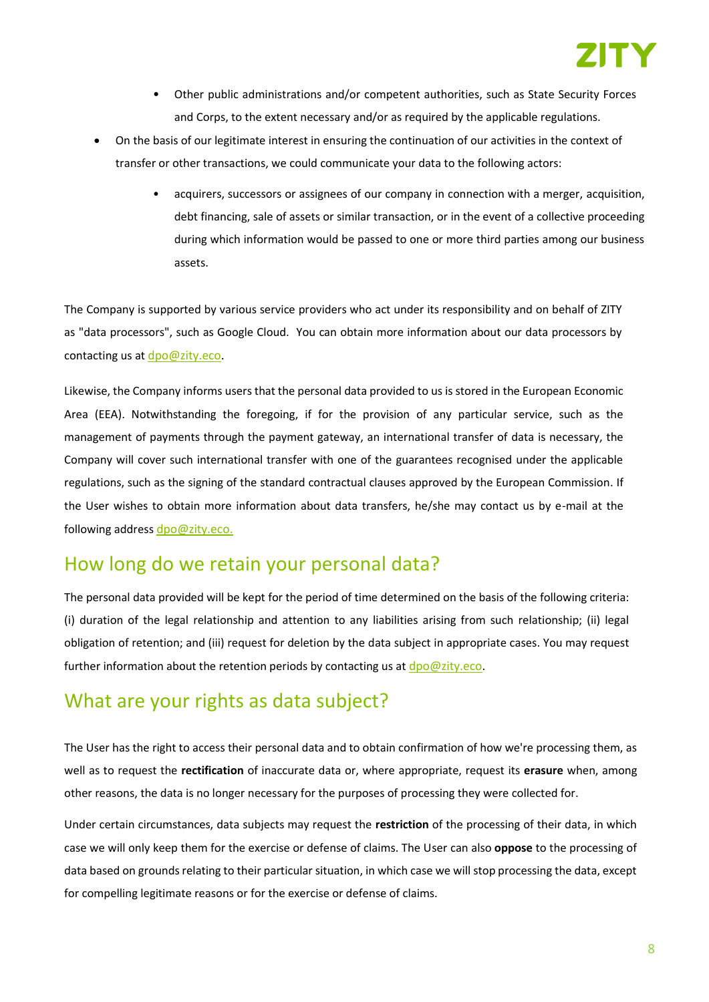

- Other public administrations and/or competent authorities, such as State Security Forces and Corps, to the extent necessary and/or as required by the applicable regulations.
- On the basis of our legitimate interest in ensuring the continuation of our activities in the context of transfer or other transactions, we could communicate your data to the following actors:
	- acquirers, successors or assignees of our company in connection with a merger, acquisition, debt financing, sale of assets or similar transaction, or in the event of a collective proceeding during which information would be passed to one or more third parties among our business assets.

The Company is supported by various service providers who act under its responsibility and on behalf of ZITY as "data processors", such as Google Cloud. You can obtain more information about our data processors by contacting us at [dpo@zity.eco.](mailto:dpo@zity.eco)

Likewise, the Company informs users that the personal data provided to us is stored in the European Economic Area (EEA). Notwithstanding the foregoing, if for the provision of any particular service, such as the management of payments through the payment gateway, an international transfer of data is necessary, the Company will cover such international transfer with one of the guarantees recognised under the applicable regulations, such as the signing of the standard contractual clauses approved by the European Commission. If the User wishes to obtain more information about data transfers, he/she may contact us by e-mail at the following address [dpo@zity.eco.](mailto:dpo@zity.eco)

### How long do we retain your personal data?

The personal data provided will be kept for the period of time determined on the basis of the following criteria: (i) duration of the legal relationship and attention to any liabilities arising from such relationship; (ii) legal obligation of retention; and (iii) request for deletion by the data subject in appropriate cases. You may request further information about the retention periods by contacting us at  $d$ po@zity.eco.

## What are your rights as data subject?

The User has the right to access their personal data and to obtain confirmation of how we're processing them, as well as to request the **rectification** of inaccurate data or, where appropriate, request its **erasure** when, among other reasons, the data is no longer necessary for the purposes of processing they were collected for.

Under certain circumstances, data subjects may request the **restriction** of the processing of their data, in which case we will only keep them for the exercise or defense of claims. The User can also **oppose** to the processing of data based on grounds relating to their particular situation, in which case we will stop processing the data, except for compelling legitimate reasons or for the exercise or defense of claims.